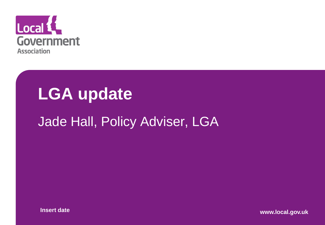

#### **LGA update**

#### Jade Hall, Policy Adviser, LGA

**Insert date www.local.gov.uk**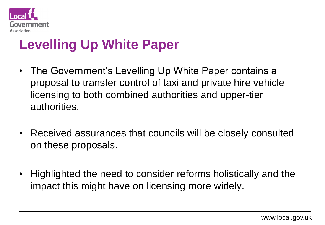

#### **Levelling Up White Paper**

- The Government's Levelling Up White Paper contains a proposal to transfer control of taxi and private hire vehicle licensing to both combined authorities and upper-tier authorities.
- Received assurances that councils will be closely consulted on these proposals.
- Highlighted the need to consider reforms holistically and the impact this might have on licensing more widely.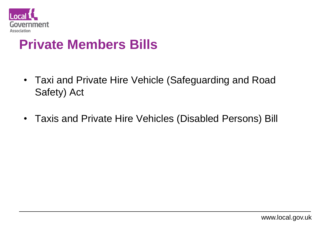

#### **Private Members Bills**

- Taxi and Private Hire Vehicle (Safeguarding and Road Safety) Act
- Taxis and Private Hire Vehicles (Disabled Persons) Bill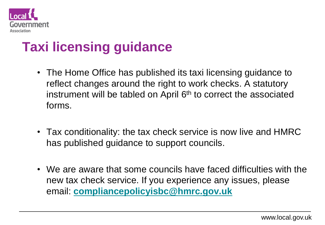

#### **Taxi licensing guidance**

- The Home Office has published its taxi licensing guidance to reflect changes around the right to work checks. A statutory instrument will be tabled on April 6<sup>th</sup> to correct the associated forms.
- Tax conditionality: the tax check service is now live and HMRC has published guidance to support councils.
- We are aware that some councils have faced difficulties with the new tax check service. If you experience any issues, please email: **[compliancepolicyisbc@hmrc.gov.uk](mailto:compliancepolicyisbc@hmrc.gov.uk)**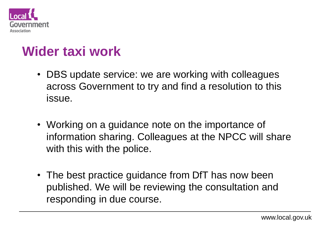

#### **Wider taxi work**

- DBS update service: we are working with colleagues across Government to try and find a resolution to this issue.
- Working on a guidance note on the importance of information sharing. Colleagues at the NPCC will share with this with the police.
- The best practice guidance from DfT has now been published. We will be reviewing the consultation and responding in due course.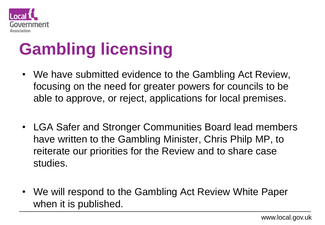

# **Gambling licensing**

- We have submitted evidence to the Gambling Act Review, focusing on the need for greater powers for councils to be able to approve, or reject, applications for local premises.
- LGA Safer and Stronger Communities Board lead members have written to the Gambling Minister, Chris Philp MP, to reiterate our priorities for the Review and to share case studies.
- We will respond to the Gambling Act Review White Paper when it is published.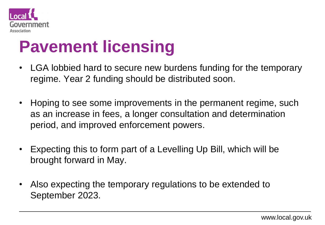

### **Pavement licensing**

- LGA lobbied hard to secure new burdens funding for the temporary regime. Year 2 funding should be distributed soon.
- Hoping to see some improvements in the permanent regime, such as an increase in fees, a longer consultation and determination period, and improved enforcement powers.
- Expecting this to form part of a Levelling Up Bill, which will be brought forward in May.
- Also expecting the temporary regulations to be extended to September 2023.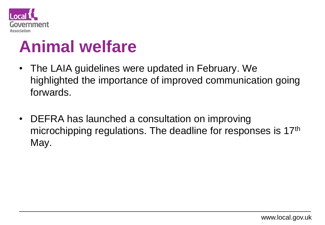

### **Animal welfare**

- The LAIA guidelines were updated in February. We highlighted the importance of improved communication going forwards.
- DEFRA has launched a consultation on improving microchipping regulations. The deadline for responses is 17th May.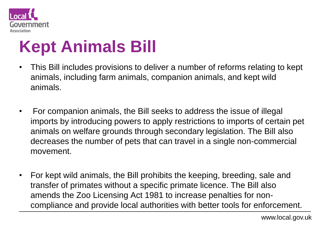

## **Kept Animals Bill**

- This Bill includes provisions to deliver a number of reforms relating to kept animals, including farm animals, companion animals, and kept wild animals.
- For companion animals, the Bill seeks to address the issue of illegal imports by introducing powers to apply restrictions to imports of certain pet animals on welfare grounds through secondary legislation. The Bill also decreases the number of pets that can travel in a single non-commercial movement.
- For kept wild animals, the Bill prohibits the keeping, breeding, sale and transfer of primates without a specific primate licence. The Bill also amends the Zoo Licensing Act 1981 to increase penalties for noncompliance and provide local authorities with better tools for enforcement.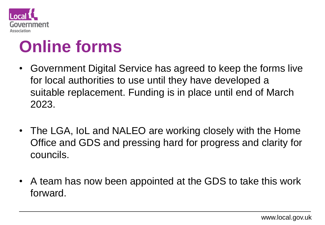

### **Online forms**

- Government Digital Service has agreed to keep the forms live for local authorities to use until they have developed a suitable replacement. Funding is in place until end of March 2023.
- The LGA, IoL and NALEO are working closely with the Home Office and GDS and pressing hard for progress and clarity for councils.
- A team has now been appointed at the GDS to take this work forward.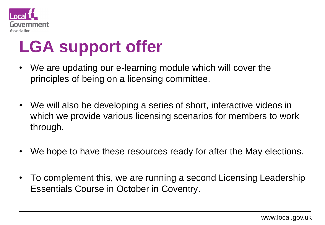

## **LGA support offer**

- We are updating our e-learning module which will cover the principles of being on a licensing committee.
- We will also be developing a series of short, interactive videos in which we provide various licensing scenarios for members to work through.
- We hope to have these resources ready for after the May elections.
- To complement this, we are running a second Licensing Leadership Essentials Course in October in Coventry.